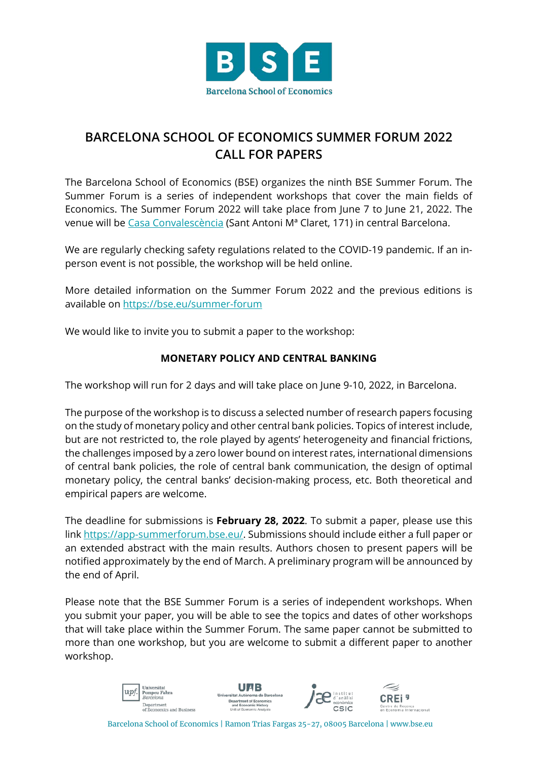

## **BARCELONA SCHOOL OF ECONOMICS SUMMER FORUM 2022 CALL FOR PAPERS**

The Barcelona School of Economics (BSE) organizes the ninth BSE Summer Forum. The Summer Forum is a series of independent workshops that cover the main fields of Economics. The Summer Forum 2022 will take place from June 7 to June 21, 2022. The venue will be [Casa Convalescència](https://www.uab-casaconvalescencia.org/en/how-to-get-there.php) (Sant Antoni Mª Claret, 171) in central Barcelona.

We are regularly checking safety regulations related to the COVID-19 pandemic. If an inperson event is not possible, the workshop will be held online.

More detailed information on the Summer Forum 2022 and the previous editions is available on<https://bse.eu/summer-forum>

We would like to invite you to submit a paper to the workshop:

## **MONETARY POLICY AND CENTRAL BANKING**

The workshop will run for 2 days and will take place on June 9-10, 2022, in Barcelona.

The purpose of the workshop is to discuss a selected number of research papers focusing on the study of monetary policy and other central bank policies. Topics of interest include, but are not restricted to, the role played by agents' heterogeneity and financial frictions, the challenges imposed by a zero lower bound on interest rates, international dimensions of central bank policies, the role of central bank communication, the design of optimal monetary policy, the central banks' decision-making process, etc. Both theoretical and empirical papers are welcome.

The deadline for submissions is **February 28, 2022**. To submit a paper, please use this link [https://app-summerforum.bse.eu/.](https://app-summerforum.bse.eu/) Submissions should include either a full paper or an extended abstract with the main results. Authors chosen to present papers will be notified approximately by the end of March. A preliminary program will be announced by the end of April.

Please note that the BSE Summer Forum is a series of independent workshops. When you submit your paper, you will be able to see the topics and dates of other workshops that will take place within the Summer Forum. The same paper cannot be submitted to more than one workshop, but you are welcome to submit a different paper to another workshop.